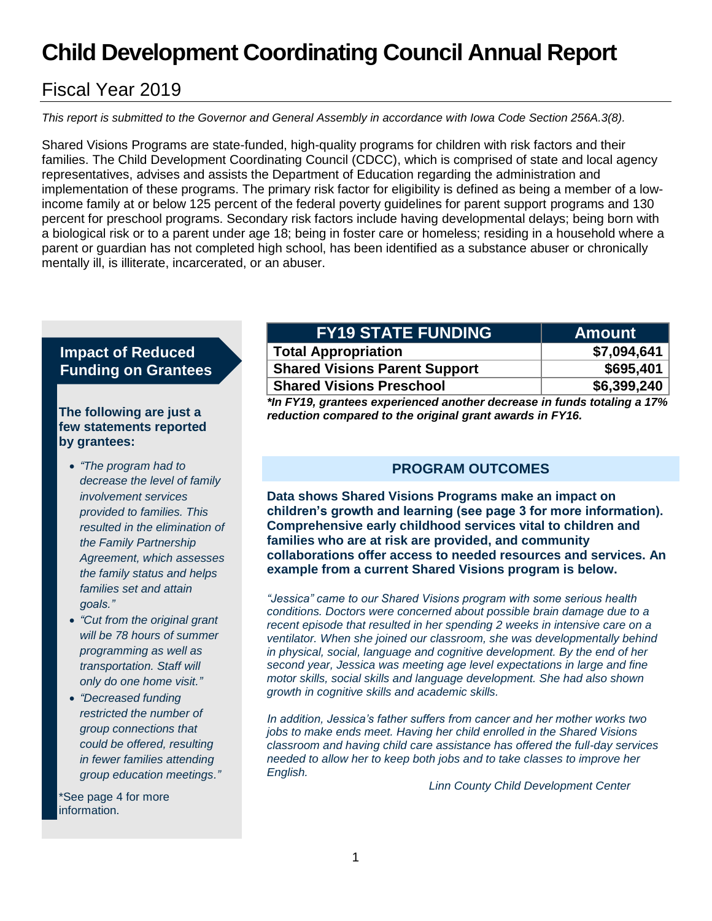# **Child Development Coordinating Council Annual Report**

# Fiscal Year 2019

*This report is submitted to the Governor and General Assembly in accordance with Iowa Code Section 256A.3(8).*

Shared Visions Programs are state-funded, high-quality programs for children with risk factors and their families. The Child Development Coordinating Council (CDCC), which is comprised of state and local agency representatives, advises and assists the Department of Education regarding the administration and implementation of these programs. The primary risk factor for eligibility is defined as being a member of a lowincome family at or below 125 percent of the federal poverty guidelines for parent support programs and 130 percent for preschool programs. Secondary risk factors include having developmental delays; being born with a biological risk or to a parent under age 18; being in foster care or homeless; residing in a household where a parent or guardian has not completed high school, has been identified as a substance abuser or chronically mentally ill, is illiterate, incarcerated, or an abuser.

# **Impact of Reduced Funding on Grantees**

#### **The following are just a few statements reported by grantees:**

- *"The program had to decrease the level of family involvement services provided to families. This resulted in the elimination of the Family Partnership Agreement, which assesses the family status and helps families set and attain goals."*
- *"Cut from the original grant will be 78 hours of summer programming as well as transportation. Staff will only do one home visit."*
- *"Decreased funding restricted the number of group connections that could be offered, resulting in fewer families attending group education meetings."*

\*See page 4 for more information.

| <b>FY19 STATE FUNDING</b>                                                  | <b>Amount</b> |
|----------------------------------------------------------------------------|---------------|
| <b>Total Appropriation</b>                                                 | \$7,094,641   |
| <b>Shared Visions Parent Support</b>                                       | \$695,401     |
| <b>Shared Visions Preschool</b>                                            | \$6,399,240   |
| *La EV40, appartence computerent continualements in fourle totalism a 470/ |               |

*\*In FY19, grantees experienced another decrease in funds totaling a 17% reduction compared to the original grant awards in FY16.*

# **PROGRAM OUTCOMES**

**Data shows Shared Visions Programs make an impact on children's growth and learning (see page 3 for more information). Comprehensive early childhood services vital to children and families who are at risk are provided, and community collaborations offer access to needed resources and services. An example from a current Shared Visions program is below.**

*"Jessica" came to our Shared Visions program with some serious health conditions. Doctors were concerned about possible brain damage due to a recent episode that resulted in her spending 2 weeks in intensive care on a ventilator. When she joined our classroom, she was developmentally behind in physical, social, language and cognitive development. By the end of her second year, Jessica was meeting age level expectations in large and fine motor skills, social skills and language development. She had also shown growth in cognitive skills and academic skills.*

*In addition, Jessica's father suffers from cancer and her mother works two jobs to make ends meet. Having her child enrolled in the Shared Visions classroom and having child care assistance has offered the full-day services needed to allow her to keep both jobs and to take classes to improve her English.*

*Linn County Child Development Center*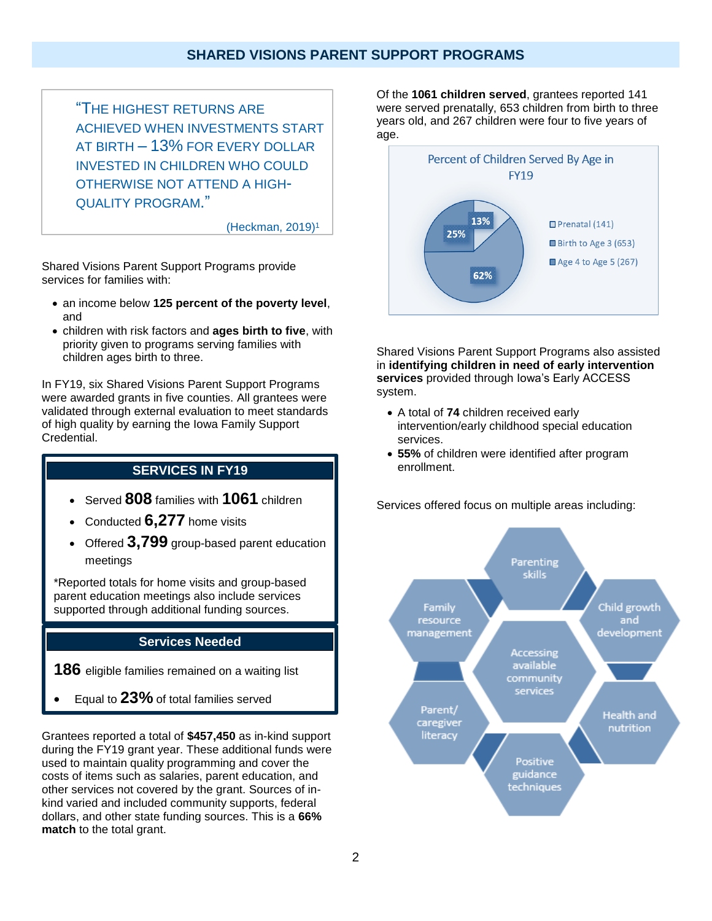### **SHARED VISIONS PARENT SUPPORT PROGRAMS**

"THE HIGHEST RETURNS ARE ACHIEVED WHEN INVESTMENTS START AT BIRTH – 13% FOR EVERY DOLLAR INVESTED IN CHILDREN WHO COULD OTHERWISE NOT ATTEND A HIGH-QUALITY PROGRAM."

(Heckman, 2019) 1

Shared Visions Parent Support Programs provide services for families with:

- an income below **125 percent of the poverty level**, and
- children with risk factors and **ages birth to five**, with priority given to programs serving families with children ages birth to three.

In FY19, six Shared Visions Parent Support Programs were awarded grants in five counties. All grantees were validated through external evaluation to meet standards of high quality by earning the Iowa Family Support Credential.

#### **SERVICES IN FY19**

- Served **808** families with **1061** children
- Conducted **6,277** home visits
- Offered **3,799** group-based parent education meetings

\*Reported totals for home visits and group-based parent education meetings also include services supported through additional funding sources.

#### **Services Needed**

**186** eligible families remained on a waiting list

• Equal to **23%** of total families served

Grantees reported a total of **\$457,450** as in-kind support during the FY19 grant year. These additional funds were used to maintain quality programming and cover the costs of items such as salaries, parent education, and other services not covered by the grant. Sources of inkind varied and included community supports, federal dollars, and other state funding sources. This is a **66% match** to the total grant.

Of the **1061 children served**, grantees reported 141 were served prenatally, 653 children from birth to three years old, and 267 children were four to five years of age.



Shared Visions Parent Support Programs also assisted in **identifying children in need of early intervention services** provided through Iowa's Early ACCESS system.

- A total of **74** children received early intervention/early childhood special education services.
- **55%** of children were identified after program enrollment.

Services offered focus on multiple areas including:

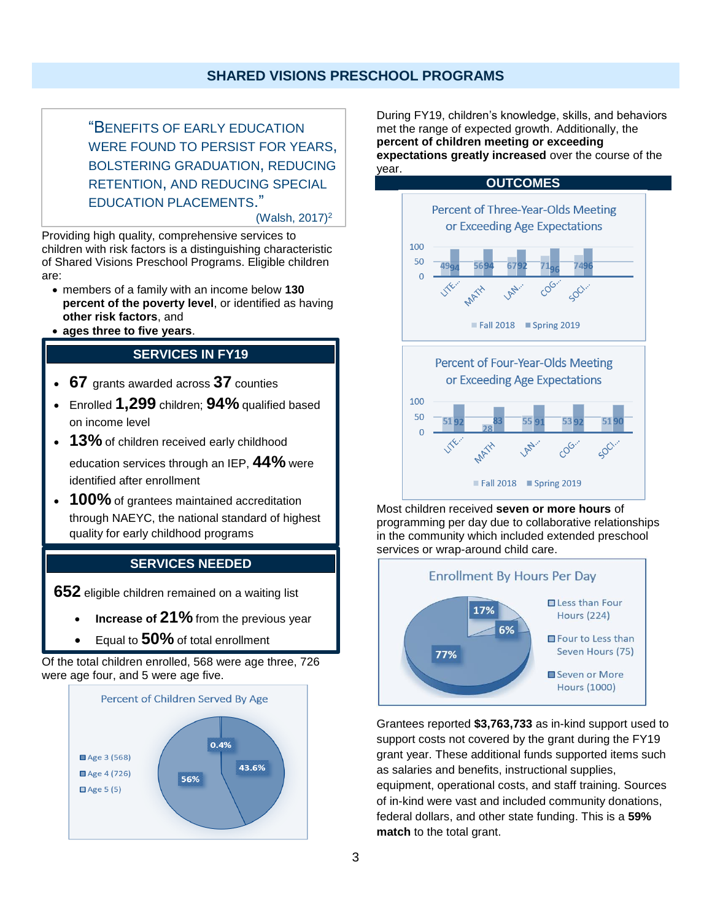"BENEFITS OF EARLY EDUCATION WERE FOUND TO PERSIST FOR YEARS, BOLSTERING GRADUATION, REDUCING RETENTION, AND REDUCING SPECIAL EDUCATION PLACEMENTS."

(Walsh, 2017)<sup>2</sup>

Providing high quality, comprehensive services to children with risk factors is a distinguishing characteristic of Shared Visions Preschool Programs. Eligible children are:

- members of a family with an income below **130 percent of the poverty level**, or identified as having **other risk factors**, and
- **ages three to five years**.

## **SERVICES IN FY19**

- **67** grants awarded across **37** counties
- Enrolled **1,299** children; **94%** qualified based on income level
- **13%** of children received early childhood education services through an IEP, **44%** were identified after enrollment
- **100%** of grantees maintained accreditation through NAEYC, the national standard of highest quality for early childhood programs

## **SERVICES NEEDED**

**652** eligible children remained on a waiting list

- **Increase of 21%** from the previous year
- Equal to **50%** of total enrollment

Of the total children enrolled, 568 were age three, 726 were age four, and 5 were age five.



During FY19, children's knowledge, skills, and behaviors met the range of expected growth. Additionally, the **percent of children meeting or exceeding expectations greatly increased** over the course of the year.



Most children received **seven or more hours** of programming per day due to collaborative relationships in the community which included extended preschool services or wrap-around child care.



Grantees reported **\$3,763,733** as in-kind support used to support costs not covered by the grant during the FY19 grant year. These additional funds supported items such as salaries and benefits, instructional supplies, equipment, operational costs, and staff training. Sources of in-kind were vast and included community donations, federal dollars, and other state funding. This is a **59% match** to the total grant.